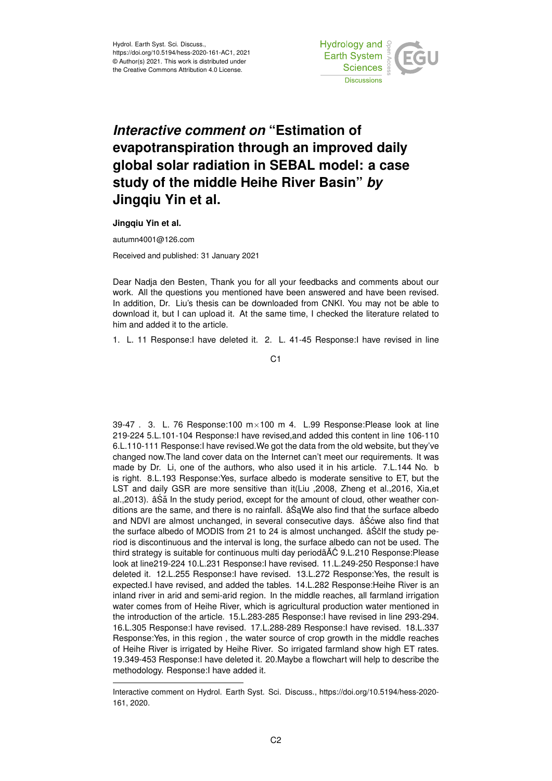

## *Interactive comment on* **"Estimation of evapotranspiration through an improved daily global solar radiation in SEBAL model: a case study of the middle Heihe River Basin"** *by* **Jingqiu Yin et al.**

**Jingqiu Yin et al.**

autumn4001@126.com

Received and published: 31 January 2021

Dear Nadja den Besten, Thank you for all your feedbacks and comments about our work. All the questions you mentioned have been answered and have been revised. In addition, Dr. Liu's thesis can be downloaded from CNKI. You may not be able to download it, but I can upload it. At the same time, I checked the literature related to him and added it to the article.

1. L. 11 Response:I have deleted it. 2. L. 41-45 Response:I have revised in line

39-47 . 3. L. 76 Response:100 m×100 m 4. L.99 Response:Please look at line 219-224 5.L.101-104 Response:I have revised,and added this content in line 106-110 6.L.110-111 Response:I have revised.We got the data from the old website, but they've changed now.The land cover data on the Internet can't meet our requirements. It was made by Dr. Li, one of the authors, who also used it in his article. 7.L.144 No. b is right. 8.L.193 Response:Yes, surface albedo is moderate sensitive to ET, but the LST and daily GSR are more sensitive than it(Liu ,2008, Zheng et al.,2016, Xia,et al.,2013). âSă In the study period, except for the amount of cloud, other weather conditions are the same, and there is no rainfall.  $\hat{a} \hat{S}$ aWe also find that the surface albedo and NDVI are almost unchanged, in several consecutive days. âSo we also find that the surface albedo of MODIS from 21 to 24 is almost unchanged. âSolf the study period is discontinuous and the interval is long, the surface albedo can not be used. The third strategy is suitable for continuous multi day periodã AĆ 9.L.210 Response: Please look at line219-224 10.L.231 Response:I have revised. 11.L.249-250 Response:I have deleted it. 12.L.255 Response:I have revised. 13.L.272 Response:Yes, the result is expected.I have revised, and added the tables. 14.L.282 Response:Heihe River is an inland river in arid and semi-arid region. In the middle reaches, all farmland irrigation water comes from of Heihe River, which is agricultural production water mentioned in the introduction of the article. 15.L.283-285 Response:I have revised in line 293-294. 16.L.305 Response:I have revised. 17.L.288-289 Response:I have revised. 18.L.337 Response:Yes, in this region , the water source of crop growth in the middle reaches of Heihe River is irrigated by Heihe River. So irrigated farmland show high ET rates. 19.349-453 Response:I have deleted it. 20.Maybe a flowchart will help to describe the methodology. Response:I have added it.

C1

Interactive comment on Hydrol. Earth Syst. Sci. Discuss., https://doi.org/10.5194/hess-2020- 161, 2020.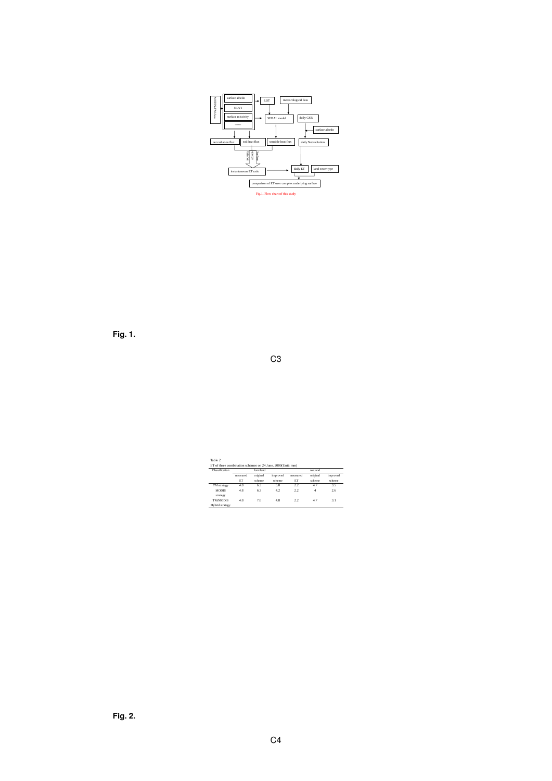

**Fig. 1.**

C3

| Classification  |          | farmland |          | wetland  |          |          |  |
|-----------------|----------|----------|----------|----------|----------|----------|--|
|                 | measured | original | improved | measured | original | improved |  |
|                 | ET       | scheme   | scheme   | ET       | scheme   | scheme   |  |
| TM strategy     | 4.8      | 6.3      | 50       | 2.2      | 47       | 3.5      |  |
| <b>MODIS</b>    | 48       | 63       | 42       | 22       | 4        | 26       |  |
| strategy        |          |          |          |          |          |          |  |
| <b>TM/MODIS</b> | 48       | 70       | 48       | 22       | 47       | 31       |  |
| Hybrid strategy |          |          |          |          |          |          |  |

**Fig. 2.**